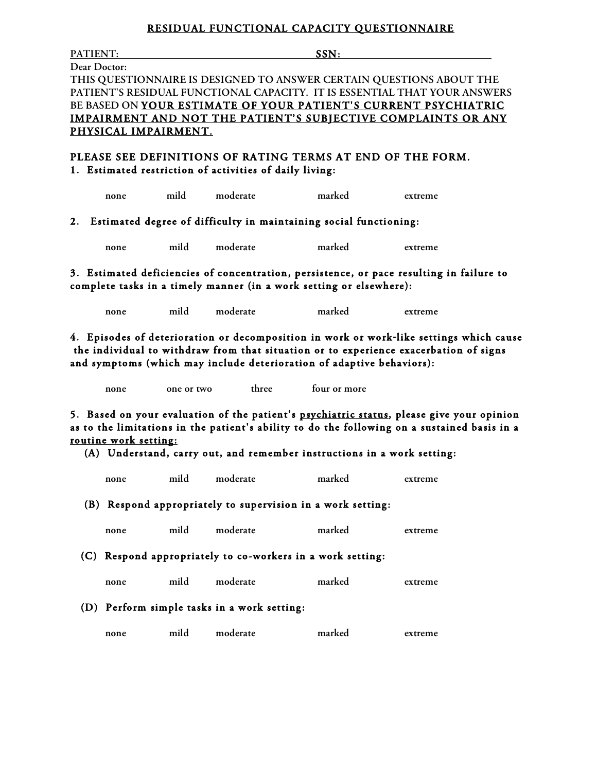## **RESIDUAL FUNCTIONAL CAPACITY QUESTIONNAIRE**

PATIENT: SSN: **Dear Doctor: THIS QUESTIONNAIRE IS DESIGNED TO ANSWER CERTAIN QUESTIONS ABOUT THE PATIENT'S RESIDUAL FUNCTIONAL CAPACITY. IT IS ESSENTIAL THAT YOUR ANSWERS BE BASED ON YOUR ESTIMATE OF YOUR PATIENT'S CURRENT PSYCHIATRIC IMPAIRMENT AND NOT THE PATIENT'S SUBJECTIVE COMPLAINTS OR ANY PHYSICAL IMPAIRMENT. PLEASE SEE DEFINITIONS OF RATING TERMS AT END OF THE FORM. 1. Estimated restriction of activities of daily living: none mild moderate marked extreme 2. Estimated degree of difficulty in maintaining social functioning: none mild moderate marked extreme 3. Estimated deficiencies of concentration, persistence, or pace resulting in failure to complete tasks in a timely manner (in a work setting or elsewhere): none mild moderate marked extreme 4. Episodes of deterioration or decomposition in work or work-like settings which cause the individual to withdraw from that situation or to experience exacerbation of signs and symptoms (which may include deterioration of adaptive behaviors): none one or two three four or more 5. Based on your evaluation of the patient's psychiatric status, please give your opinion as to the limitations in the patient's ability to do the following on a sustained basis in a routine work setting: (A) Understand, carry out, and remember instructions in a work setting: none mild moderate marked extreme (B) Respond appropriately to supervision in a work setting: none mild moderate marked extreme**

 **(C) Respond appropriately to co-workers in a work setting:** 

**none mild moderate marked extreme**

 **(D) Perform simple tasks in a work setting:** 

**none mild moderate marked extreme**